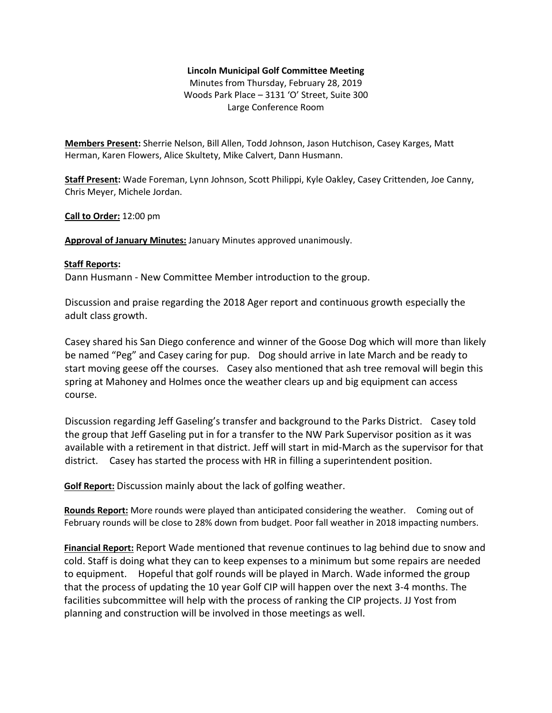## **Lincoln Municipal Golf Committee Meeting**

Minutes from Thursday, February 28, 2019 Woods Park Place – 3131 'O' Street, Suite 300 Large Conference Room

**Members Present:** Sherrie Nelson, Bill Allen, Todd Johnson, Jason Hutchison, Casey Karges, Matt Herman, Karen Flowers, Alice Skultety, Mike Calvert, Dann Husmann.

**Staff Present:** Wade Foreman, Lynn Johnson, Scott Philippi, Kyle Oakley, Casey Crittenden, Joe Canny, Chris Meyer, Michele Jordan.

## **Call to Order:** 12:00 pm

**Approval of January Minutes:** January Minutes approved unanimously.

## **Staff Reports:**

Dann Husmann - New Committee Member introduction to the group.

Discussion and praise regarding the 2018 Ager report and continuous growth especially the adult class growth.

Casey shared his San Diego conference and winner of the Goose Dog which will more than likely be named "Peg" and Casey caring for pup. Dog should arrive in late March and be ready to start moving geese off the courses. Casey also mentioned that ash tree removal will begin this spring at Mahoney and Holmes once the weather clears up and big equipment can access course.

Discussion regarding Jeff Gaseling's transfer and background to the Parks District. Casey told the group that Jeff Gaseling put in for a transfer to the NW Park Supervisor position as it was available with a retirement in that district. Jeff will start in mid-March as the supervisor for that district. Casey has started the process with HR in filling a superintendent position.

**Golf Report:** Discussion mainly about the lack of golfing weather.

**Rounds Report:** More rounds were played than anticipated considering the weather. Coming out of February rounds will be close to 28% down from budget. Poor fall weather in 2018 impacting numbers.

**Financial Report:** Report Wade mentioned that revenue continues to lag behind due to snow and cold. Staff is doing what they can to keep expenses to a minimum but some repairs are needed to equipment. Hopeful that golf rounds will be played in March. Wade informed the group that the process of updating the 10 year Golf CIP will happen over the next 3-4 months. The facilities subcommittee will help with the process of ranking the CIP projects. JJ Yost from planning and construction will be involved in those meetings as well.